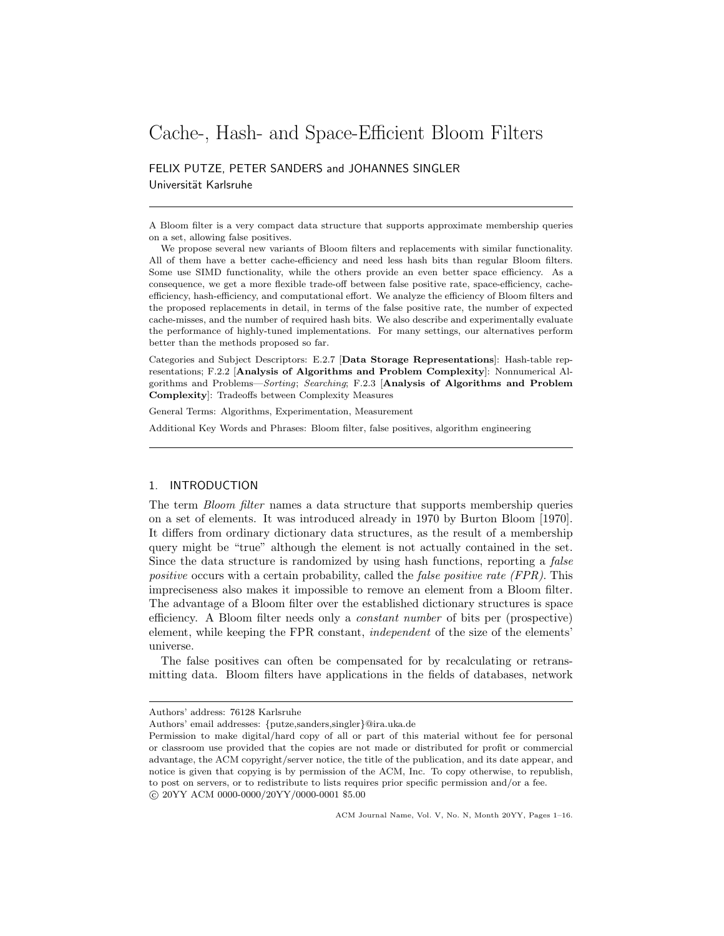# Cache-, Hash- and Space-Efficient Bloom Filters

FELIX PUTZE, PETER SANDERS and JOHANNES SINGLER Universität Karlsruhe

A Bloom filter is a very compact data structure that supports approximate membership queries on a set, allowing false positives.

We propose several new variants of Bloom filters and replacements with similar functionality. All of them have a better cache-efficiency and need less hash bits than regular Bloom filters. Some use SIMD functionality, while the others provide an even better space efficiency. As a consequence, we get a more flexible trade-off between false positive rate, space-efficiency, cacheefficiency, hash-efficiency, and computational effort. We analyze the efficiency of Bloom filters and the proposed replacements in detail, in terms of the false positive rate, the number of expected cache-misses, and the number of required hash bits. We also describe and experimentally evaluate the performance of highly-tuned implementations. For many settings, our alternatives perform better than the methods proposed so far.

Categories and Subject Descriptors: E.2.7 [Data Storage Representations]: Hash-table representations; F.2.2 [Analysis of Algorithms and Problem Complexity]: Nonnumerical Algorithms and Problems—Sorting; Searching; F.2.3 [Analysis of Algorithms and Problem Complexity]: Tradeoffs between Complexity Measures

General Terms: Algorithms, Experimentation, Measurement

Additional Key Words and Phrases: Bloom filter, false positives, algorithm engineering

### 1. INTRODUCTION

The term Bloom filter names a data structure that supports membership queries on a set of elements. It was introduced already in 1970 by Burton Bloom [1970]. It differs from ordinary dictionary data structures, as the result of a membership query might be "true" although the element is not actually contained in the set. Since the data structure is randomized by using hash functions, reporting a false positive occurs with a certain probability, called the *false positive rate (FPR)*. This impreciseness also makes it impossible to remove an element from a Bloom filter. The advantage of a Bloom filter over the established dictionary structures is space efficiency. A Bloom filter needs only a constant number of bits per (prospective) element, while keeping the FPR constant, independent of the size of the elements' universe.

The false positives can often be compensated for by recalculating or retransmitting data. Bloom filters have applications in the fields of databases, network

Authors' address: 76128 Karlsruhe

Authors' email addresses: {putze,sanders,singler}@ira.uka.de

Permission to make digital/hard copy of all or part of this material without fee for personal or classroom use provided that the copies are not made or distributed for profit or commercial advantage, the ACM copyright/server notice, the title of the publication, and its date appear, and notice is given that copying is by permission of the ACM, Inc. To copy otherwise, to republish, to post on servers, or to redistribute to lists requires prior specific permission and/or a fee. c 20YY ACM 0000-0000/20YY/0000-0001 \$5.00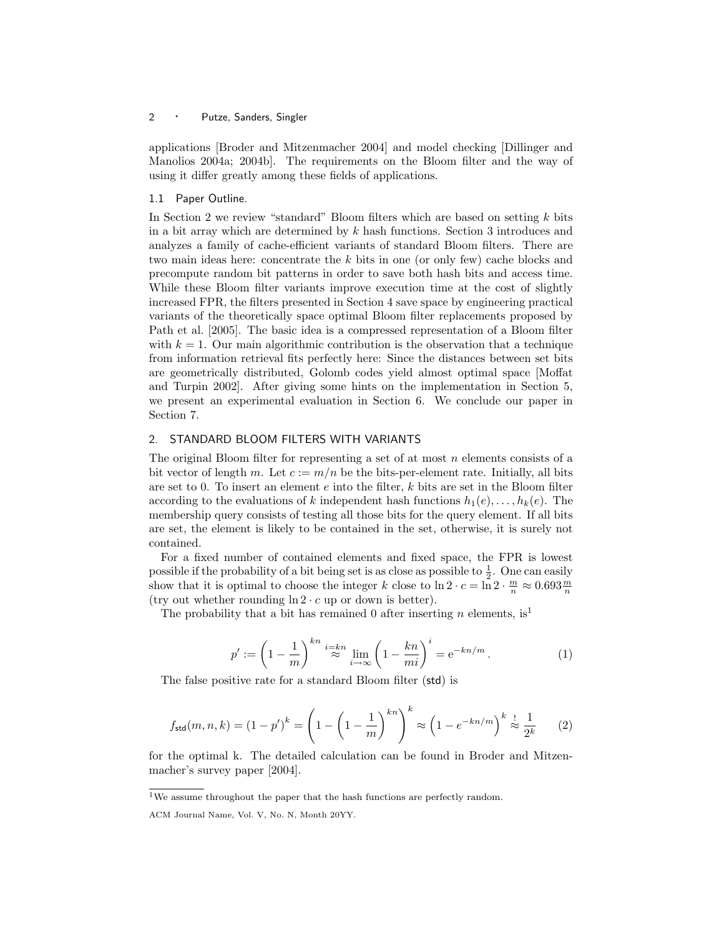applications [Broder and Mitzenmacher 2004] and model checking [Dillinger and Manolios 2004a; 2004b]. The requirements on the Bloom filter and the way of using it differ greatly among these fields of applications.

### 1.1 Paper Outline.

In Section 2 we review "standard" Bloom filters which are based on setting  $k$  bits in a bit array which are determined by  $k$  hash functions. Section 3 introduces and analyzes a family of cache-efficient variants of standard Bloom filters. There are two main ideas here: concentrate the  $k$  bits in one (or only few) cache blocks and precompute random bit patterns in order to save both hash bits and access time. While these Bloom filter variants improve execution time at the cost of slightly increased FPR, the filters presented in Section 4 save space by engineering practical variants of the theoretically space optimal Bloom filter replacements proposed by Path et al. [2005]. The basic idea is a compressed representation of a Bloom filter with  $k = 1$ . Our main algorithmic contribution is the observation that a technique from information retrieval fits perfectly here: Since the distances between set bits are geometrically distributed, Golomb codes yield almost optimal space [Moffat and Turpin 2002]. After giving some hints on the implementation in Section 5, we present an experimental evaluation in Section 6. We conclude our paper in Section 7.

### 2. STANDARD BLOOM FILTERS WITH VARIANTS

The original Bloom filter for representing a set of at most  $n$  elements consists of a bit vector of length m. Let  $c := m/n$  be the bits-per-element rate. Initially, all bits are set to 0. To insert an element  $e$  into the filter,  $k$  bits are set in the Bloom filter according to the evaluations of k independent hash functions  $h_1(e), \ldots, h_k(e)$ . The membership query consists of testing all those bits for the query element. If all bits are set, the element is likely to be contained in the set, otherwise, it is surely not contained.

For a fixed number of contained elements and fixed space, the FPR is lowest possible if the probability of a bit being set is as close as possible to  $\frac{1}{2}$ . One can easily show that it is optimal to choose the integer k close to  $\ln 2 \cdot c = \ln 2 \cdot \frac{m}{n} \approx 0.693 \frac{m}{n}$ (try out whether rounding  $\ln 2 \cdot c$  up or down is better).

The probability that a bit has remained 0 after inserting n elements,  $is<sup>1</sup>$ 

$$
p' := \left(1 - \frac{1}{m}\right)^{kn} \stackrel{i=kn}{\approx} \lim_{i \to \infty} \left(1 - \frac{kn}{mi}\right)^i = e^{-kn/m}.
$$
 (1)

The false positive rate for a standard Bloom filter (std) is

$$
f_{\text{std}}(m, n, k) = (1 - p')^{k} = \left(1 - \left(1 - \frac{1}{m}\right)^{kn}\right)^{k} \approx \left(1 - e^{-kn/m}\right)^{k} \stackrel{!}{\approx} \frac{1}{2^{k}} \tag{2}
$$

for the optimal k. The detailed calculation can be found in Broder and Mitzenmacher's survey paper [2004].

 $^{1}\rm{We}$  assume throughout the paper that the hash functions are perfectly random.

ACM Journal Name, Vol. V, No. N, Month 20YY.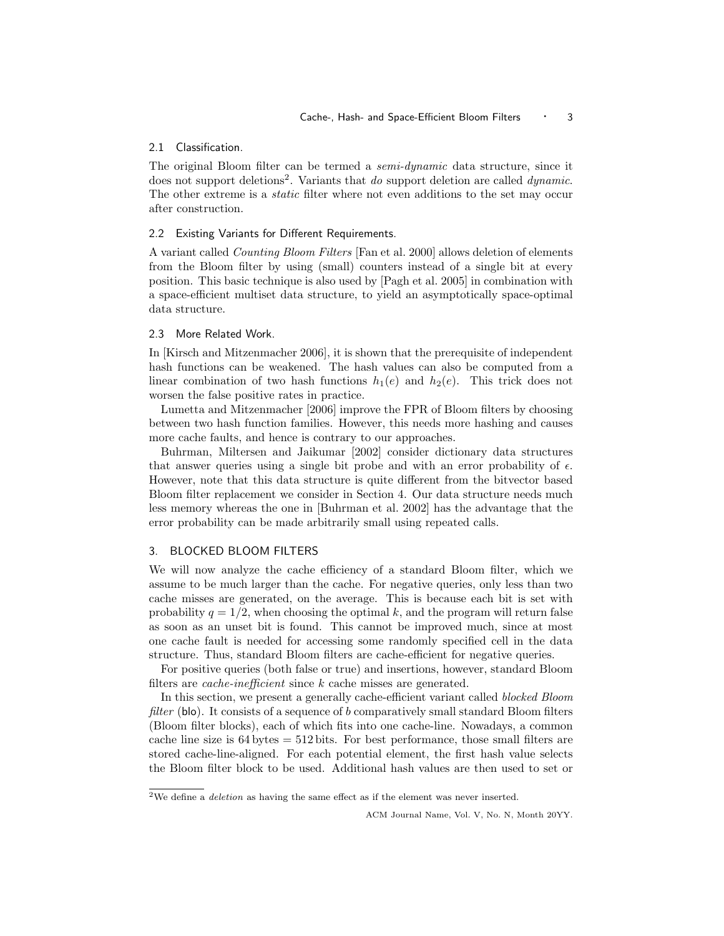### 2.1 Classification.

The original Bloom filter can be termed a semi-dynamic data structure, since it does not support deletions<sup>2</sup>. Variants that do support deletion are called dynamic. The other extreme is a *static* filter where not even additions to the set may occur after construction.

### 2.2 Existing Variants for Different Requirements.

A variant called Counting Bloom Filters [Fan et al. 2000] allows deletion of elements from the Bloom filter by using (small) counters instead of a single bit at every position. This basic technique is also used by [Pagh et al. 2005] in combination with a space-efficient multiset data structure, to yield an asymptotically space-optimal data structure.

### 2.3 More Related Work.

In [Kirsch and Mitzenmacher 2006], it is shown that the prerequisite of independent hash functions can be weakened. The hash values can also be computed from a linear combination of two hash functions  $h_1(e)$  and  $h_2(e)$ . This trick does not worsen the false positive rates in practice.

Lumetta and Mitzenmacher [2006] improve the FPR of Bloom filters by choosing between two hash function families. However, this needs more hashing and causes more cache faults, and hence is contrary to our approaches.

Buhrman, Miltersen and Jaikumar [2002] consider dictionary data structures that answer queries using a single bit probe and with an error probability of  $\epsilon$ . However, note that this data structure is quite different from the bitvector based Bloom filter replacement we consider in Section 4. Our data structure needs much less memory whereas the one in [Buhrman et al. 2002] has the advantage that the error probability can be made arbitrarily small using repeated calls.

### 3. BLOCKED BLOOM FILTERS

We will now analyze the cache efficiency of a standard Bloom filter, which we assume to be much larger than the cache. For negative queries, only less than two cache misses are generated, on the average. This is because each bit is set with probability  $q = 1/2$ , when choosing the optimal k, and the program will return false as soon as an unset bit is found. This cannot be improved much, since at most one cache fault is needed for accessing some randomly specified cell in the data structure. Thus, standard Bloom filters are cache-efficient for negative queries.

For positive queries (both false or true) and insertions, however, standard Bloom filters are *cache-inefficient* since k cache misses are generated.

In this section, we present a generally cache-efficient variant called blocked Bloom filter (blo). It consists of a sequence of b comparatively small standard Bloom filters (Bloom filter blocks), each of which fits into one cache-line. Nowadays, a common cache line size is 64 bytes = 512 bits. For best performance, those small filters are stored cache-line-aligned. For each potential element, the first hash value selects the Bloom filter block to be used. Additional hash values are then used to set or

<sup>&</sup>lt;sup>2</sup>We define a *deletion* as having the same effect as if the element was never inserted.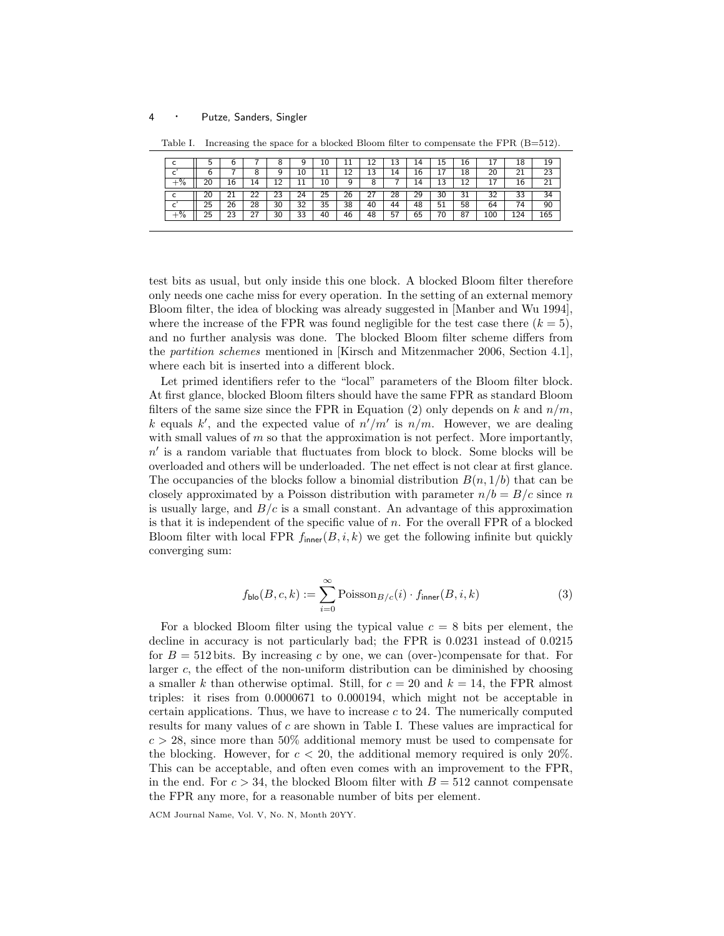| ◡             | - 1 | u        |     | o           | У  | 10         |    | ∸∸              | 13 | 14 | 15 | 16           |              | 18  | 19  |
|---------------|-----|----------|-----|-------------|----|------------|----|-----------------|----|----|----|--------------|--------------|-----|-----|
| <b>.</b>      | h   |          | 8   | 9           | 10 | <b>. .</b> | ᅩᄼ | $\sqrt{2}$<br>∸ | 14 | 16 | ∸  | 18           | 20           | 21  | 23  |
| $\frac{9}{6}$ | 20  | 16       | 14  | $\cap$<br>ᅩ |    | 10         |    | Ο               |    | 14 | 13 | $\sim$<br>ᆠ  |              | 16  | ∠⊥  |
| ◡             | 20  | ∠⊥       | ے۔  | 23          | 24 | 25         | 26 | ا ک             | 28 | 29 | 30 | $\sim$<br>31 | $\sim$<br>32 | 33  | 34  |
|               | 25  | 26       | 28  | 30          | 32 | 35         | 38 | 40              | 44 | 48 | 51 | 58           | 64           | 74  | 90  |
| $\frac{0}{2}$ | 25  | າາ<br>رے | 2 I | 30          | 33 | 40         | 46 | 48              | 57 | 65 | 70 | 87           | 100          | 124 | 165 |

Table I. Increasing the space for a blocked Bloom filter to compensate the FPR (B=512).

test bits as usual, but only inside this one block. A blocked Bloom filter therefore only needs one cache miss for every operation. In the setting of an external memory Bloom filter, the idea of blocking was already suggested in [Manber and Wu 1994], where the increase of the FPR was found negligible for the test case there  $(k = 5)$ , and no further analysis was done. The blocked Bloom filter scheme differs from the partition schemes mentioned in [Kirsch and Mitzenmacher 2006, Section 4.1], where each bit is inserted into a different block.

Let primed identifiers refer to the "local" parameters of the Bloom filter block. At first glance, blocked Bloom filters should have the same FPR as standard Bloom filters of the same size since the FPR in Equation (2) only depends on k and  $n/m$ , k equals k', and the expected value of  $n'/m'$  is  $n/m$ . However, we are dealing with small values of  $m$  so that the approximation is not perfect. More importantly,  $n'$  is a random variable that fluctuates from block to block. Some blocks will be overloaded and others will be underloaded. The net effect is not clear at first glance. The occupancies of the blocks follow a binomial distribution  $B(n, 1/b)$  that can be closely approximated by a Poisson distribution with parameter  $n/b = B/c$  since n is usually large, and  $B/c$  is a small constant. An advantage of this approximation is that it is independent of the specific value of  $n$ . For the overall FPR of a blocked Bloom filter with local FPR  $f_{inner}(B, i, k)$  we get the following infinite but quickly converging sum:

$$
f_{\text{blo}}(B, c, k) := \sum_{i=0}^{\infty} \text{Poisson}_{B/c}(i) \cdot f_{\text{inner}}(B, i, k)
$$
 (3)

For a blocked Bloom filter using the typical value  $c = 8$  bits per element, the decline in accuracy is not particularly bad; the FPR is 0.0231 instead of 0.0215 for  $B = 512$  bits. By increasing c by one, we can (over-)compensate for that. For larger c, the effect of the non-uniform distribution can be diminished by choosing a smaller k than otherwise optimal. Still, for  $c = 20$  and  $k = 14$ , the FPR almost triples: it rises from 0.0000671 to 0.000194, which might not be acceptable in certain applications. Thus, we have to increase  $c$  to 24. The numerically computed results for many values of c are shown in Table I. These values are impractical for  $c > 28$ , since more than 50% additional memory must be used to compensate for the blocking. However, for  $c < 20$ , the additional memory required is only 20%. This can be acceptable, and often even comes with an improvement to the FPR, in the end. For  $c > 34$ , the blocked Bloom filter with  $B = 512$  cannot compensate the FPR any more, for a reasonable number of bits per element.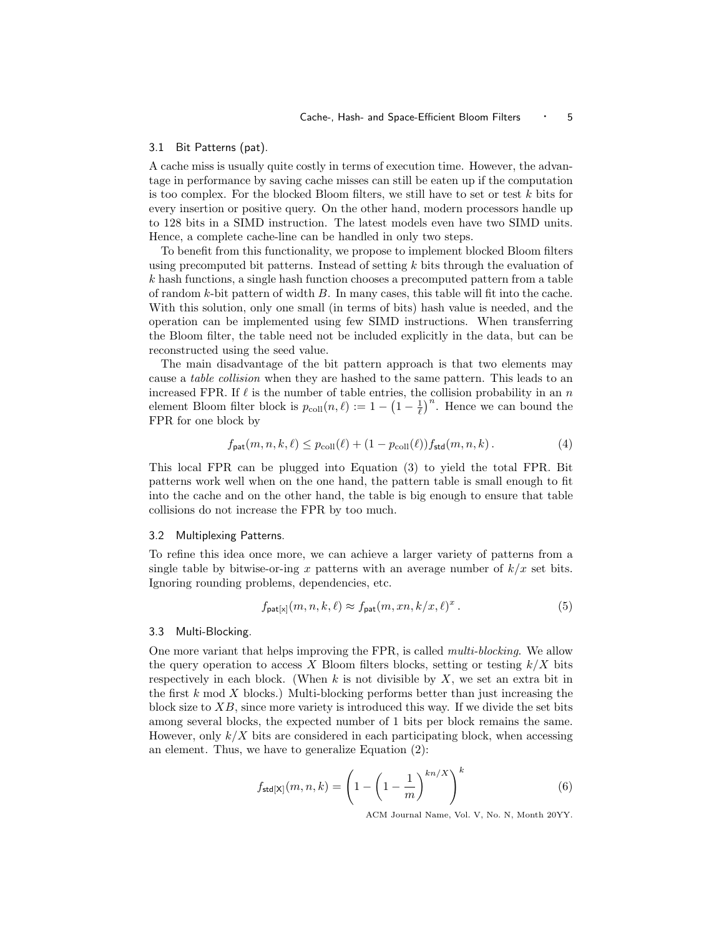#### 3.1 Bit Patterns (pat).

A cache miss is usually quite costly in terms of execution time. However, the advantage in performance by saving cache misses can still be eaten up if the computation is too complex. For the blocked Bloom filters, we still have to set or test  $k$  bits for every insertion or positive query. On the other hand, modern processors handle up to 128 bits in a SIMD instruction. The latest models even have two SIMD units. Hence, a complete cache-line can be handled in only two steps.

To benefit from this functionality, we propose to implement blocked Bloom filters using precomputed bit patterns. Instead of setting  $k$  bits through the evaluation of  $k$  hash functions, a single hash function chooses a precomputed pattern from a table of random  $k$ -bit pattern of width  $B$ . In many cases, this table will fit into the cache. With this solution, only one small (in terms of bits) hash value is needed, and the operation can be implemented using few SIMD instructions. When transferring the Bloom filter, the table need not be included explicitly in the data, but can be reconstructed using the seed value.

The main disadvantage of the bit pattern approach is that two elements may cause a table collision when they are hashed to the same pattern. This leads to an increased FPR. If  $\ell$  is the number of table entries, the collision probability in an n element Bloom filter block is  $p_{\text{coll}}(n, \ell) := 1 - \left(1 - \frac{1}{\ell}\right)^n$ . Hence we can bound the FPR for one block by

$$
f_{\text{pat}}(m, n, k, \ell) \le p_{\text{coll}}(\ell) + (1 - p_{\text{coll}}(\ell)) f_{\text{std}}(m, n, k). \tag{4}
$$

This local FPR can be plugged into Equation (3) to yield the total FPR. Bit patterns work well when on the one hand, the pattern table is small enough to fit into the cache and on the other hand, the table is big enough to ensure that table collisions do not increase the FPR by too much.

#### 3.2 Multiplexing Patterns.

To refine this idea once more, we can achieve a larger variety of patterns from a single table by bitwise-or-ing x patterns with an average number of  $k/x$  set bits. Ignoring rounding problems, dependencies, etc.

$$
f_{\mathsf{pat}[x]}(m,n,k,\ell) \approx f_{\mathsf{pat}}(m,m,k/x,\ell)^x. \tag{5}
$$

#### 3.3 Multi-Blocking.

One more variant that helps improving the FPR, is called multi-blocking. We allow the query operation to access X Bloom filters blocks, setting or testing  $k/X$  bits respectively in each block. (When  $k$  is not divisible by  $X$ , we set an extra bit in the first  $k \mod X$  blocks.) Multi-blocking performs better than just increasing the block size to  $XB$ , since more variety is introduced this way. If we divide the set bits among several blocks, the expected number of 1 bits per block remains the same. However, only  $k/X$  bits are considered in each participating block, when accessing an element. Thus, we have to generalize Equation (2):

$$
f_{\text{std}[X]}(m, n, k) = \left(1 - \left(1 - \frac{1}{m}\right)^{kn/X}\right)^k
$$
 (6)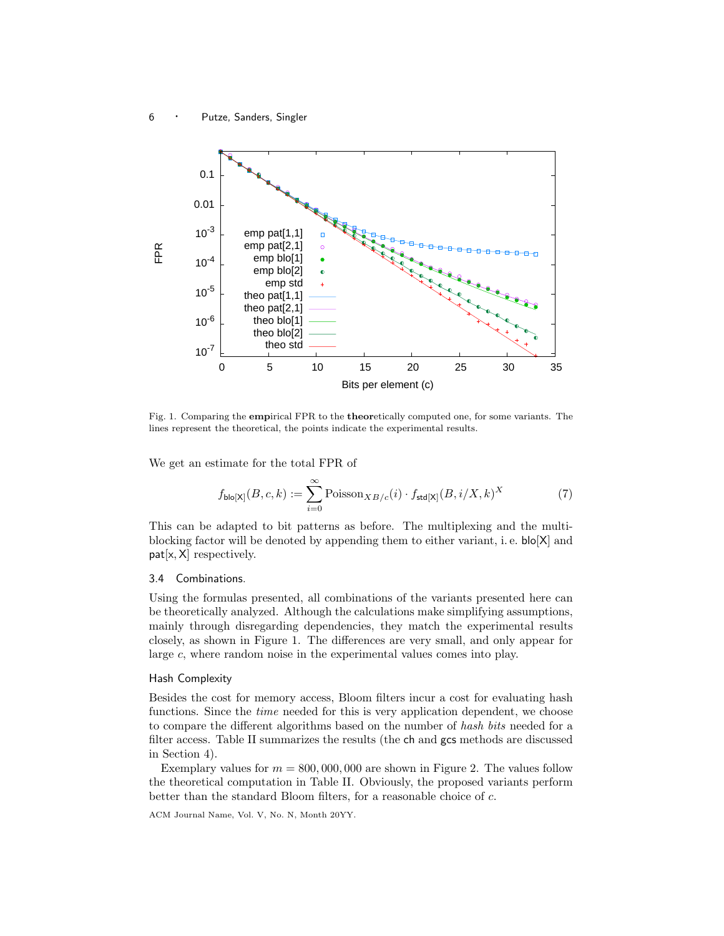

Fig. 1. Comparing the empirical FPR to the theoretically computed one, for some variants. The lines represent the theoretical, the points indicate the experimental results.

We get an estimate for the total FPR of

$$
f_{\text{blo}[X]}(B,c,k) := \sum_{i=0}^{\infty} \text{Poisson}_{XB/c}(i) \cdot f_{\text{std}[X]}(B,i/X,k)^{X}
$$
 (7)

This can be adapted to bit patterns as before. The multiplexing and the multiblocking factor will be denoted by appending them to either variant, i. e. blo[X] and pat[x, X] respectively.

### 3.4 Combinations.

Using the formulas presented, all combinations of the variants presented here can be theoretically analyzed. Although the calculations make simplifying assumptions, mainly through disregarding dependencies, they match the experimental results closely, as shown in Figure 1. The differences are very small, and only appear for large c, where random noise in the experimental values comes into play.

#### Hash Complexity

Besides the cost for memory access, Bloom filters incur a cost for evaluating hash functions. Since the time needed for this is very application dependent, we choose to compare the different algorithms based on the number of hash bits needed for a filter access. Table II summarizes the results (the ch and gcs methods are discussed in Section 4).

Exemplary values for  $m = 800,000,000$  are shown in Figure 2. The values follow the theoretical computation in Table II. Obviously, the proposed variants perform better than the standard Bloom filters, for a reasonable choice of c.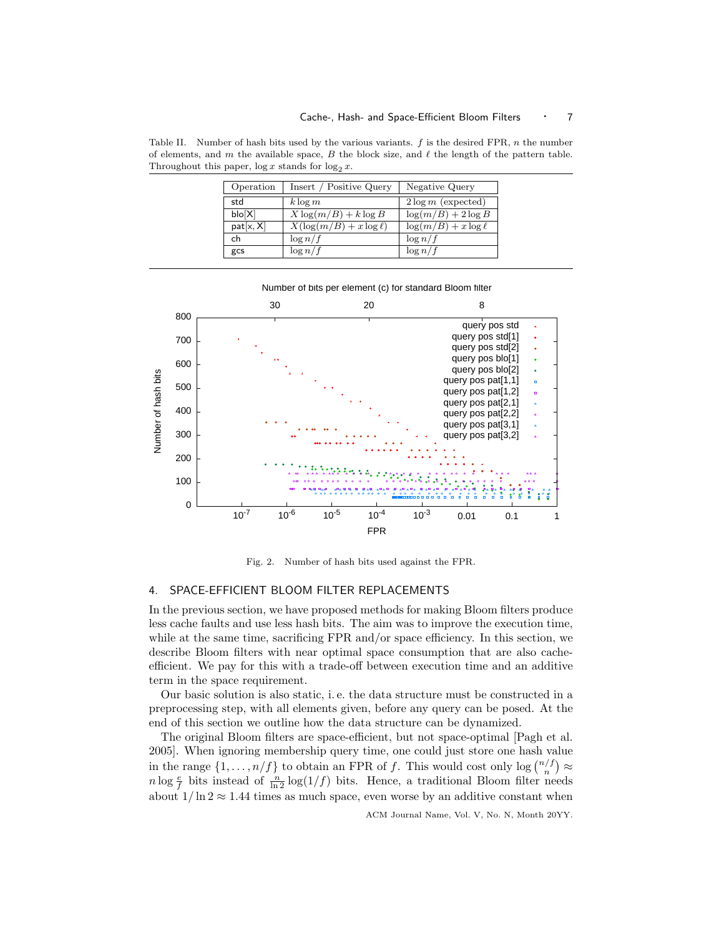Table II. Number of hash bits used by the various variants.  $f$  is the desired FPR,  $n$  the number of elements, and m the available space, B the block size, and  $\ell$  the length of the pattern table. Throughout this paper,  $\log x$  stands for  $\log_2 x$ .

| Operation | Insert / Positive Query      | Negative Query            |
|-----------|------------------------------|---------------------------|
| std       | $k \log m$                   | $2\log m$ (expected)      |
| b o[X]    | $X \log(m/B) + k \log B$     | $\log(m/B) + 2 \log B$    |
| pat[x, X] | $X(\log(m/B) + x \log \ell)$ | $\log(m/B) + x \log \ell$ |
| ch        | $\log n/f$                   | $\log n/f$                |
| gcs       | $\log n/f$                   | $\log n/f$                |



Fig. 2. Number of hash bits used against the FPR.

### 4. SPACE-EFFICIENT BLOOM FILTER REPLACEMENTS

In the previous section, we have proposed methods for making Bloom filters produce less cache faults and use less hash bits. The aim was to improve the execution time, while at the same time, sacrificing FPR and/or space efficiency. In this section, we describe Bloom filters with near optimal space consumption that are also cacheefficient. We pay for this with a trade-off between execution time and an additive term in the space requirement.

Our basic solution is also static, i. e. the data structure must be constructed in a preprocessing step, with all elements given, before any query can be posed. At the end of this section we outline how the data structure can be dynamized.

The original Bloom filters are space-efficient, but not space-optimal [Pagh et al. 2005]. When ignoring membership query time, one could just store one hash value in the range  $\{1, \ldots, n/f\}$  to obtain an FPR of f. This would cost only  $\log {n/f \choose n} \approx$  $n \log \frac{e}{f}$  bits instead of  $\frac{n}{\ln 2} \log(1/f)$  bits. Hence, a traditional Bloom filter needs about  $1/\ln 2 \approx 1.44$  times as much space, even worse by an additive constant when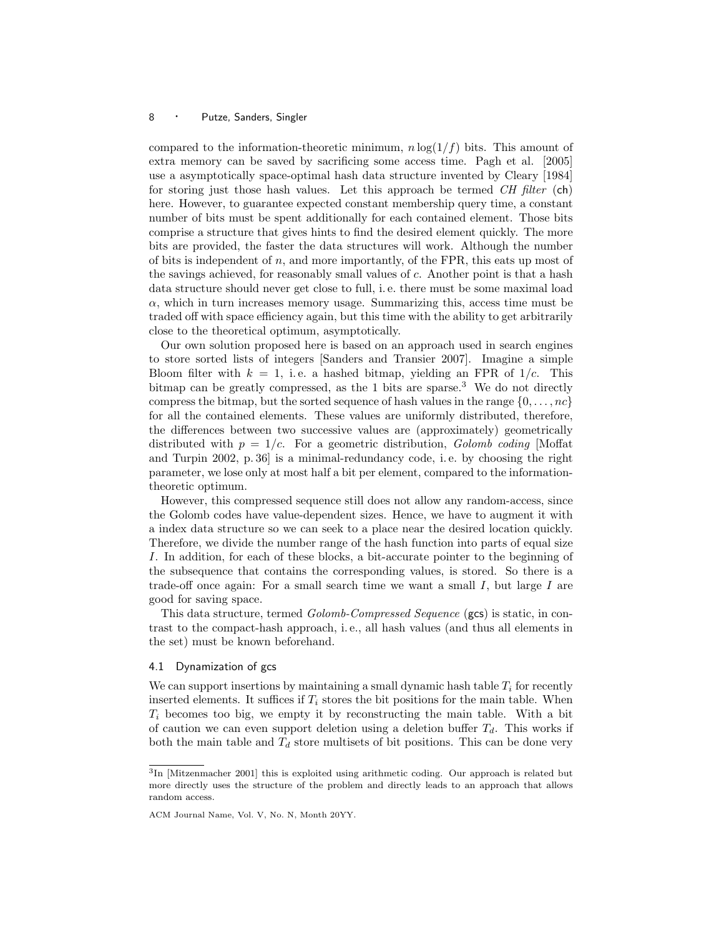compared to the information-theoretic minimum,  $n \log(1/f)$  bits. This amount of extra memory can be saved by sacrificing some access time. Pagh et al. [2005] use a asymptotically space-optimal hash data structure invented by Cleary [1984] for storing just those hash values. Let this approach be termed  $CH$  filter (ch) here. However, to guarantee expected constant membership query time, a constant number of bits must be spent additionally for each contained element. Those bits comprise a structure that gives hints to find the desired element quickly. The more bits are provided, the faster the data structures will work. Although the number of bits is independent of  $n$ , and more importantly, of the FPR, this eats up most of the savings achieved, for reasonably small values of c. Another point is that a hash data structure should never get close to full, i. e. there must be some maximal load  $\alpha$ , which in turn increases memory usage. Summarizing this, access time must be traded off with space efficiency again, but this time with the ability to get arbitrarily close to the theoretical optimum, asymptotically.

Our own solution proposed here is based on an approach used in search engines to store sorted lists of integers [Sanders and Transier 2007]. Imagine a simple Bloom filter with  $k = 1$ , i.e. a hashed bitmap, yielding an FPR of  $1/c$ . This bitmap can be greatly compressed, as the  $1$  bits are sparse.<sup>3</sup> We do not directly compress the bitmap, but the sorted sequence of hash values in the range  $\{0, \ldots, nc\}$ for all the contained elements. These values are uniformly distributed, therefore, the differences between two successive values are (approximately) geometrically distributed with  $p = 1/c$ . For a geometric distribution, *Golomb coding* [Moffat] and Turpin 2002, p. 36] is a minimal-redundancy code, i. e. by choosing the right parameter, we lose only at most half a bit per element, compared to the informationtheoretic optimum.

However, this compressed sequence still does not allow any random-access, since the Golomb codes have value-dependent sizes. Hence, we have to augment it with a index data structure so we can seek to a place near the desired location quickly. Therefore, we divide the number range of the hash function into parts of equal size I. In addition, for each of these blocks, a bit-accurate pointer to the beginning of the subsequence that contains the corresponding values, is stored. So there is a trade-off once again: For a small search time we want a small  $I$ , but large  $I$  are good for saving space.

This data structure, termed Golomb-Compressed Sequence (gcs) is static, in contrast to the compact-hash approach, i. e., all hash values (and thus all elements in the set) must be known beforehand.

### 4.1 Dynamization of gcs

We can support insertions by maintaining a small dynamic hash table  $T_i$  for recently inserted elements. It suffices if  $T_i$  stores the bit positions for the main table. When  $T_i$  becomes too big, we empty it by reconstructing the main table. With a bit of caution we can even support deletion using a deletion buffer  $T_d$ . This works if both the main table and  $T<sub>d</sub>$  store multisets of bit positions. This can be done very

<sup>&</sup>lt;sup>3</sup>In [Mitzenmacher 2001] this is exploited using arithmetic coding. Our approach is related but more directly uses the structure of the problem and directly leads to an approach that allows random access.

ACM Journal Name, Vol. V, No. N, Month 20YY.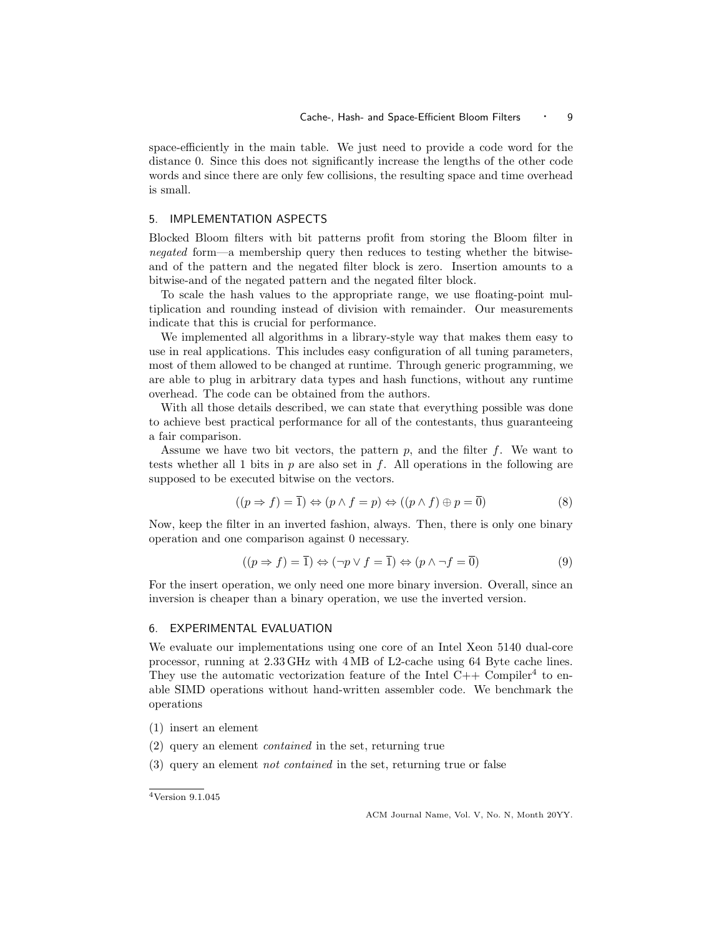space-efficiently in the main table. We just need to provide a code word for the distance 0. Since this does not significantly increase the lengths of the other code words and since there are only few collisions, the resulting space and time overhead is small.

### 5. IMPLEMENTATION ASPECTS

Blocked Bloom filters with bit patterns profit from storing the Bloom filter in negated form—a membership query then reduces to testing whether the bitwiseand of the pattern and the negated filter block is zero. Insertion amounts to a bitwise-and of the negated pattern and the negated filter block.

To scale the hash values to the appropriate range, we use floating-point multiplication and rounding instead of division with remainder. Our measurements indicate that this is crucial for performance.

We implemented all algorithms in a library-style way that makes them easy to use in real applications. This includes easy configuration of all tuning parameters, most of them allowed to be changed at runtime. Through generic programming, we are able to plug in arbitrary data types and hash functions, without any runtime overhead. The code can be obtained from the authors.

With all those details described, we can state that everything possible was done to achieve best practical performance for all of the contestants, thus guaranteeing a fair comparison.

Assume we have two bit vectors, the pattern  $p$ , and the filter  $f$ . We want to tests whether all 1 bits in p are also set in f. All operations in the following are supposed to be executed bitwise on the vectors.

$$
((p \Rightarrow f) = \overline{1}) \Leftrightarrow (p \land f = p) \Leftrightarrow ((p \land f) \oplus p = \overline{0})
$$
\n(8)

Now, keep the filter in an inverted fashion, always. Then, there is only one binary operation and one comparison against 0 necessary.

$$
((p \Rightarrow f) = \overline{1}) \Leftrightarrow (\neg p \lor f = \overline{1}) \Leftrightarrow (p \land \neg f = \overline{0})
$$
\n(9)

For the insert operation, we only need one more binary inversion. Overall, since an inversion is cheaper than a binary operation, we use the inverted version.

### 6. EXPERIMENTAL EVALUATION

We evaluate our implementations using one core of an Intel Xeon 5140 dual-core processor, running at 2.33 GHz with 4 MB of L2-cache using 64 Byte cache lines. They use the automatic vectorization feature of the Intel  $C++$  Compiler<sup>4</sup> to enable SIMD operations without hand-written assembler code. We benchmark the operations

- (1) insert an element
- (2) query an element contained in the set, returning true
- (3) query an element not contained in the set, returning true or false

<sup>4</sup>Version 9.1.045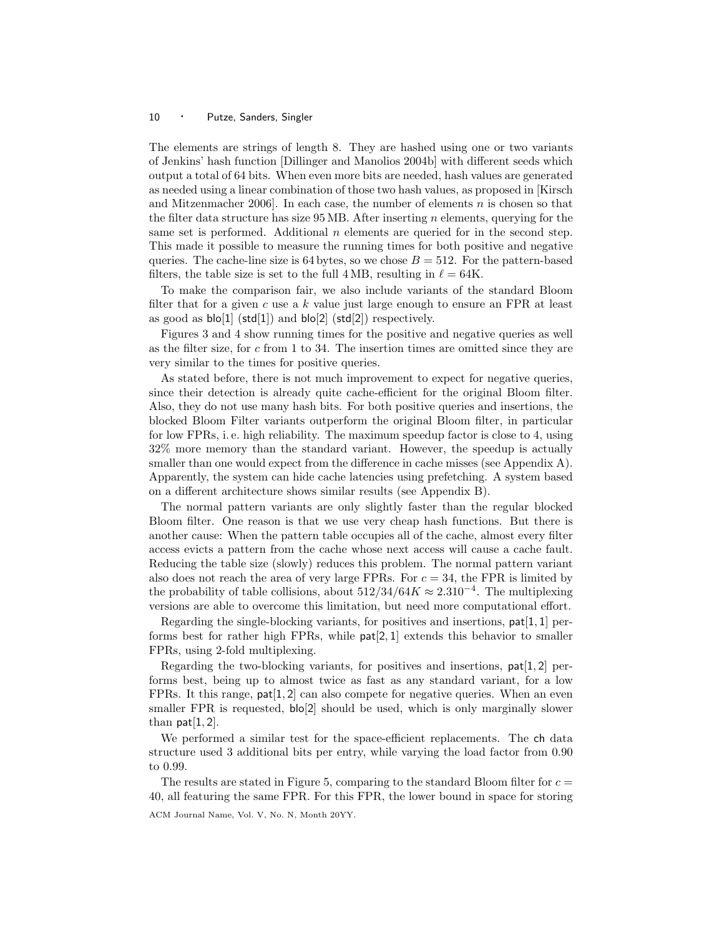The elements are strings of length 8. They are hashed using one or two variants of Jenkins' hash function [Dillinger and Manolios 2004b] with different seeds which output a total of 64 bits. When even more bits are needed, hash values are generated as needed using a linear combination of those two hash values, as proposed in [Kirsch and Mitzenmacher 2006]. In each case, the number of elements n is chosen so that the filter data structure has size  $95 \text{ MB}$ . After inserting n elements, querying for the same set is performed. Additional  $n$  elements are queried for in the second step. This made it possible to measure the running times for both positive and negative queries. The cache-line size is 64 bytes, so we chose  $B = 512$ . For the pattern-based filters, the table size is set to the full 4 MB, resulting in  $\ell = 64K$ .

To make the comparison fair, we also include variants of the standard Bloom filter that for a given c use a  $k$  value just large enough to ensure an FPR at least as good as  $\mathsf{blo}[1]$  (std[1]) and  $\mathsf{blo}[2]$  (std[2]) respectively.

Figures 3 and 4 show running times for the positive and negative queries as well as the filter size, for  $c$  from 1 to 34. The insertion times are omitted since they are very similar to the times for positive queries.

As stated before, there is not much improvement to expect for negative queries, since their detection is already quite cache-efficient for the original Bloom filter. Also, they do not use many hash bits. For both positive queries and insertions, the blocked Bloom Filter variants outperform the original Bloom filter, in particular for low FPRs, i. e. high reliability. The maximum speedup factor is close to 4, using 32% more memory than the standard variant. However, the speedup is actually smaller than one would expect from the difference in cache misses (see Appendix A). Apparently, the system can hide cache latencies using prefetching. A system based on a different architecture shows similar results (see Appendix B).

The normal pattern variants are only slightly faster than the regular blocked Bloom filter. One reason is that we use very cheap hash functions. But there is another cause: When the pattern table occupies all of the cache, almost every filter access evicts a pattern from the cache whose next access will cause a cache fault. Reducing the table size (slowly) reduces this problem. The normal pattern variant also does not reach the area of very large FPRs. For  $c = 34$ , the FPR is limited by the probability of table collisions, about  $512/34/64K \approx 2.310^{-4}$ . The multiplexing versions are able to overcome this limitation, but need more computational effort.

Regarding the single-blocking variants, for positives and insertions, pat[1, 1] performs best for rather high FPRs, while pat[2, 1] extends this behavior to smaller FPRs, using 2-fold multiplexing.

Regarding the two-blocking variants, for positives and insertions,  $pat[1, 2]$  performs best, being up to almost twice as fast as any standard variant, for a low FPRs. It this range,  $pat[1, 2]$  can also compete for negative queries. When an even smaller FPR is requested,  $b|o[2]$  should be used, which is only marginally slower than  $pat[1, 2]$ .

We performed a similar test for the space-efficient replacements. The ch data structure used 3 additional bits per entry, while varying the load factor from 0.90 to 0.99.

The results are stated in Figure 5, comparing to the standard Bloom filter for  $c =$ 40, all featuring the same FPR. For this FPR, the lower bound in space for storing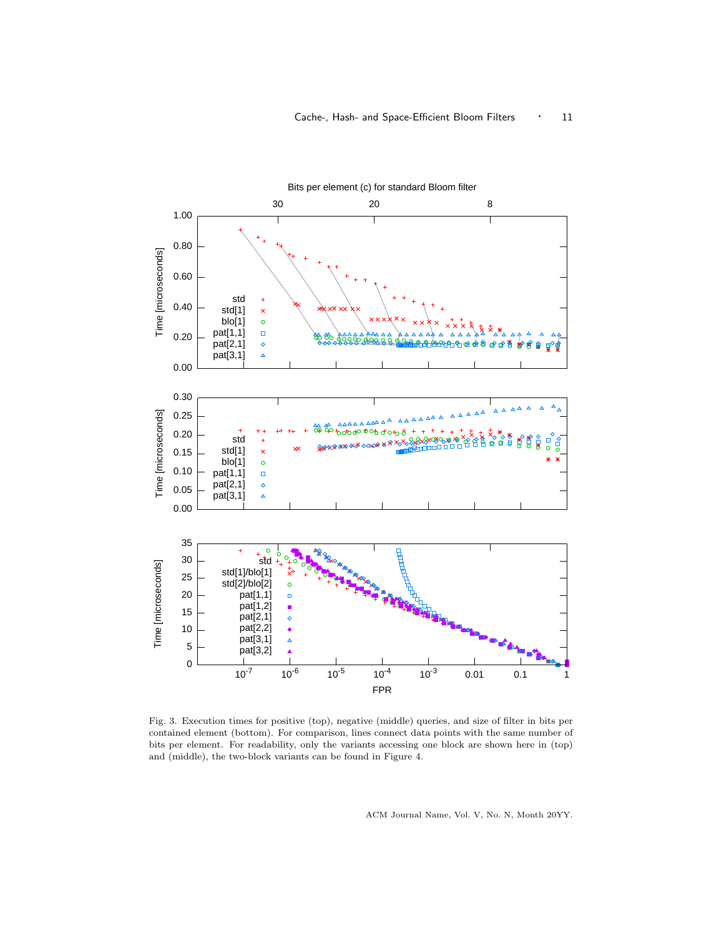

Fig. 3. Execution times for positive (top), negative (middle) queries, and size of filter in bits per contained element (bottom). For comparison, lines connect data points with the same number of bits per element. For readability, only the variants accessing one block are shown here in (top) and (middle), the two-block variants can be found in Figure 4.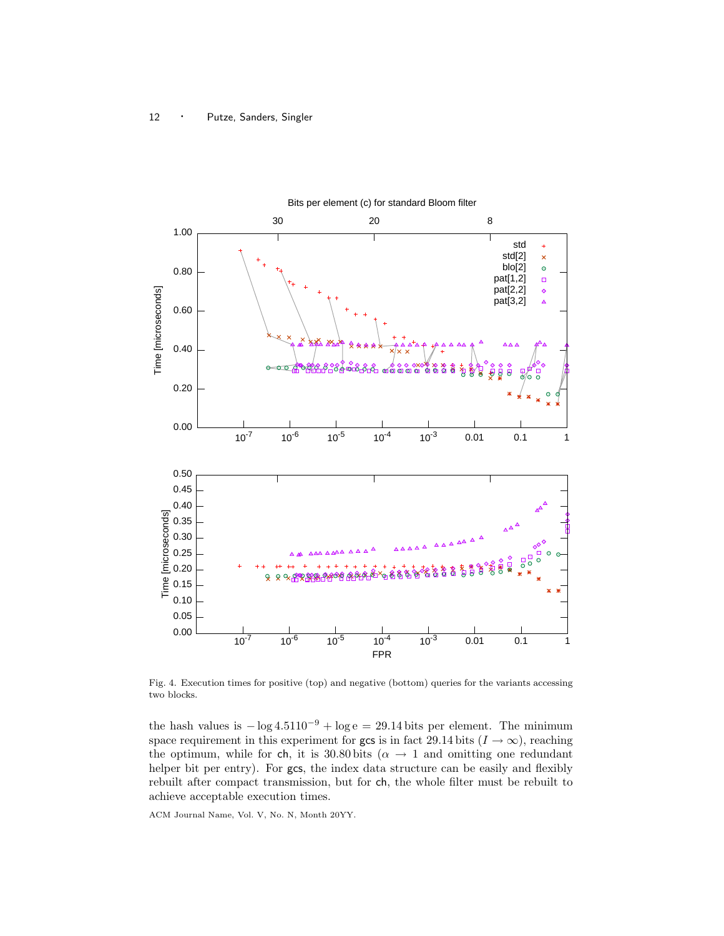

Fig. 4. Execution times for positive (top) and negative (bottom) queries for the variants accessing two blocks.

the hash values is  $-\log 4.5110^{-9} + \log e = 29.14$  bits per element. The minimum space requirement in this experiment for gcs is in fact 29.14 bits  $(I \to \infty)$ , reaching the optimum, while for ch, it is 30.80 bits ( $\alpha \rightarrow 1$  and omitting one redundant helper bit per entry). For gcs, the index data structure can be easily and flexibly rebuilt after compact transmission, but for ch, the whole filter must be rebuilt to achieve acceptable execution times.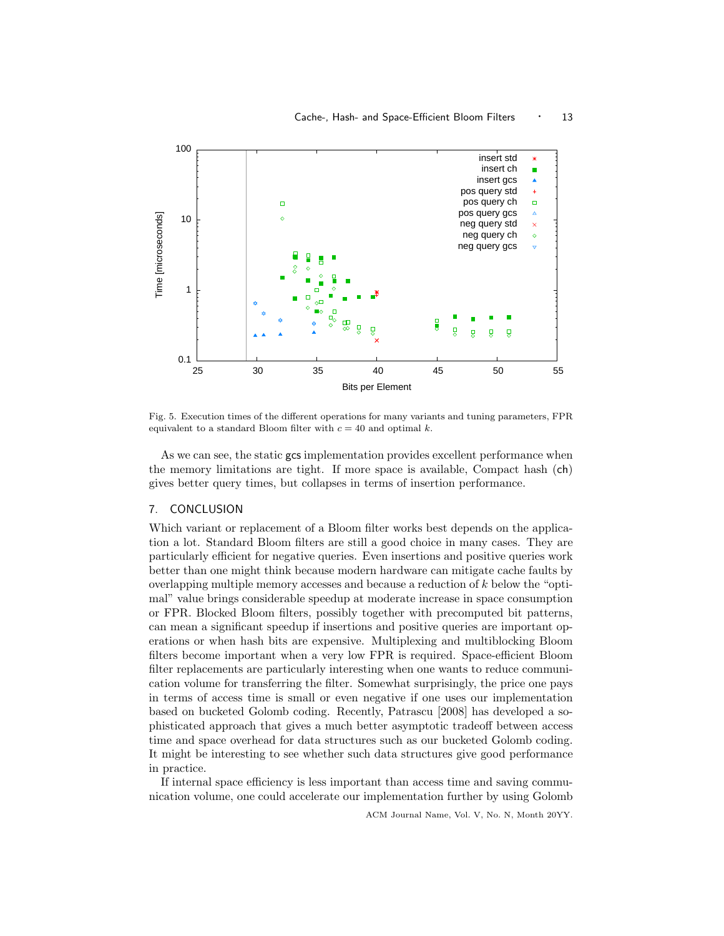

Fig. 5. Execution times of the different operations for many variants and tuning parameters, FPR equivalent to a standard Bloom filter with  $c = 40$  and optimal k.

As we can see, the static gcs implementation provides excellent performance when the memory limitations are tight. If more space is available, Compact hash (ch) gives better query times, but collapses in terms of insertion performance.

### 7. CONCLUSION

Which variant or replacement of a Bloom filter works best depends on the application a lot. Standard Bloom filters are still a good choice in many cases. They are particularly efficient for negative queries. Even insertions and positive queries work better than one might think because modern hardware can mitigate cache faults by overlapping multiple memory accesses and because a reduction of  $k$  below the "optimal" value brings considerable speedup at moderate increase in space consumption or FPR. Blocked Bloom filters, possibly together with precomputed bit patterns, can mean a significant speedup if insertions and positive queries are important operations or when hash bits are expensive. Multiplexing and multiblocking Bloom filters become important when a very low FPR is required. Space-efficient Bloom filter replacements are particularly interesting when one wants to reduce communication volume for transferring the filter. Somewhat surprisingly, the price one pays in terms of access time is small or even negative if one uses our implementation based on bucketed Golomb coding. Recently, Patrascu [2008] has developed a sophisticated approach that gives a much better asymptotic tradeoff between access time and space overhead for data structures such as our bucketed Golomb coding. It might be interesting to see whether such data structures give good performance in practice.

If internal space efficiency is less important than access time and saving communication volume, one could accelerate our implementation further by using Golomb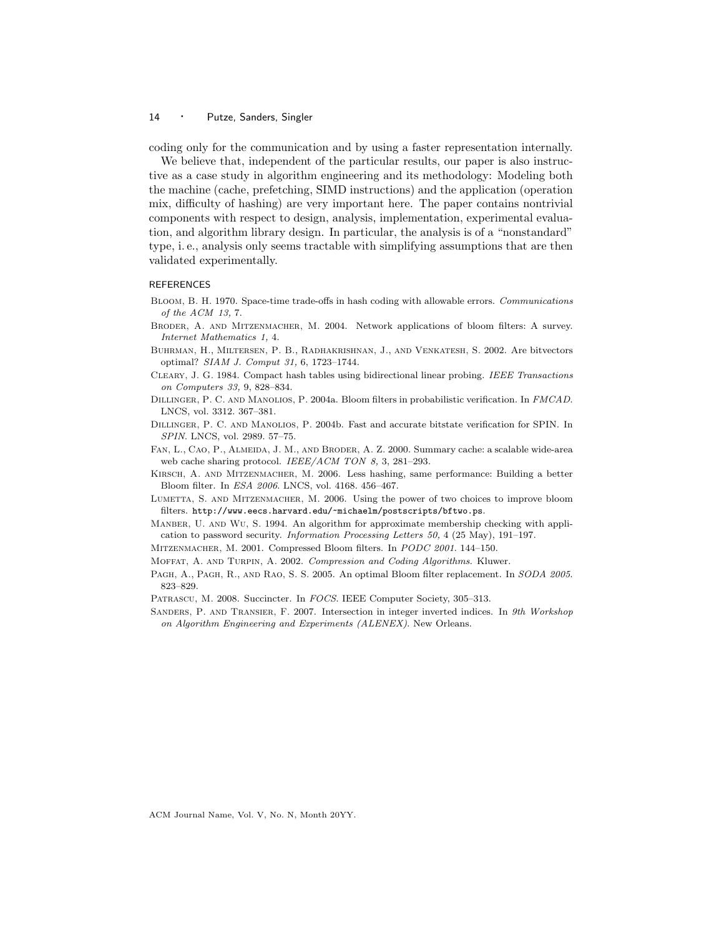coding only for the communication and by using a faster representation internally.

We believe that, independent of the particular results, our paper is also instructive as a case study in algorithm engineering and its methodology: Modeling both the machine (cache, prefetching, SIMD instructions) and the application (operation mix, difficulty of hashing) are very important here. The paper contains nontrivial components with respect to design, analysis, implementation, experimental evaluation, and algorithm library design. In particular, the analysis is of a "nonstandard" type, i. e., analysis only seems tractable with simplifying assumptions that are then validated experimentally.

### **REFERENCES**

- Bloom, B. H. 1970. Space-time trade-offs in hash coding with allowable errors. Communications of the ACM 13, 7.
- Broder, A. and Mitzenmacher, M. 2004. Network applications of bloom filters: A survey. Internet Mathematics 1, 4.
- Buhrman, H., Miltersen, P. B., Radhakrishnan, J., and Venkatesh, S. 2002. Are bitvectors optimal? SIAM J. Comput 31, 6, 1723–1744.
- Cleary, J. G. 1984. Compact hash tables using bidirectional linear probing. IEEE Transactions on Computers 33, 9, 828–834.
- DILLINGER, P. C. AND MANOLIOS, P. 2004a. Bloom filters in probabilistic verification. In FMCAD. LNCS, vol. 3312. 367–381.
- Dillinger, P. C. and Manolios, P. 2004b. Fast and accurate bitstate verification for SPIN. In SPIN. LNCS, vol. 2989. 57–75.
- Fan, L., Cao, P., Almeida, J. M., and Broder, A. Z. 2000. Summary cache: a scalable wide-area web cache sharing protocol. IEEE/ACM TON 8, 3, 281-293.
- KIRSCH, A. AND MITZENMACHER, M. 2006. Less hashing, same performance: Building a better Bloom filter. In ESA 2006. LNCS, vol. 4168. 456–467.
- LUMETTA, S. AND MITZENMACHER, M. 2006. Using the power of two choices to improve bloom filters. http://www.eecs.harvard.edu/~michaelm/postscripts/bftwo.ps.
- Manber, U. and Wu, S. 1994. An algorithm for approximate membership checking with application to password security. Information Processing Letters 50, 4 (25 May), 191–197.
- Mitzenmacher, M. 2001. Compressed Bloom filters. In PODC 2001. 144–150.
- Moffat, A. and Turpin, A. 2002. Compression and Coding Algorithms. Kluwer.
- PAGH, A., PAGH, R., AND RAO, S. S. 2005. An optimal Bloom filter replacement. In SODA 2005. 823–829.
- PATRASCU, M. 2008. Succincter. In FOCS. IEEE Computer Society, 305-313.
- SANDERS, P. AND TRANSIER, F. 2007. Intersection in integer inverted indices. In 9th Workshop on Algorithm Engineering and Experiments (ALENEX). New Orleans.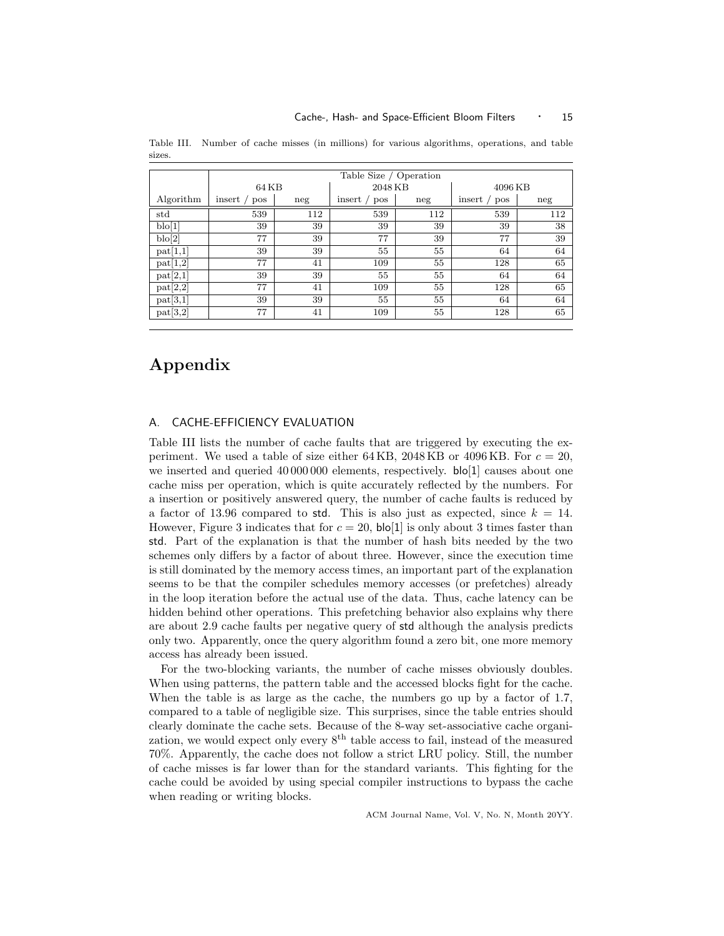|                 | Table Size / Operation |     |               |     |               |     |  |  |  |
|-----------------|------------------------|-----|---------------|-----|---------------|-----|--|--|--|
|                 | 64 KB                  |     | 2048 KB       |     | 4096 KB       |     |  |  |  |
| Algorithm       | insert /<br>pos        | neg | insert<br>pos | neg | insert<br>pos | neg |  |  |  |
| std             | 539                    | 112 | 539           | 112 | 539           | 112 |  |  |  |
| $\text{blo}[1]$ | 39                     | 39  | 39            | 39  | 39            | 38  |  |  |  |
| b o[2]          | 77                     | 39  | 77            | 39  | 77            | 39  |  |  |  |
| pat[1,1]        | 39                     | 39  | 55            | 55  | 64            | 64  |  |  |  |
| pat[1,2]        | 77                     | 41  | 109           | 55  | 128           | 65  |  |  |  |
| pat[2,1]        | 39                     | 39  | 55            | 55  | 64            | 64  |  |  |  |
| pat[2,2]        | 77                     | 41  | 109           | 55  | 128           | 65  |  |  |  |
| pat[3,1]        | 39                     | 39  | 55            | 55  | 64            | 64  |  |  |  |
| pat[3,2]        | 77                     | 41  | 109           | 55  | 128           | 65  |  |  |  |

Table III. Number of cache misses (in millions) for various algorithms, operations, and table sizes.

## Appendix

### A. CACHE-EFFICIENCY EVALUATION

Table III lists the number of cache faults that are triggered by executing the experiment. We used a table of size either 64 KB, 2048 KB or 4096 KB. For  $c = 20$ , we inserted and queried 40 000 000 elements, respectively. **bo**[1] causes about one cache miss per operation, which is quite accurately reflected by the numbers. For a insertion or positively answered query, the number of cache faults is reduced by a factor of 13.96 compared to std. This is also just as expected, since  $k = 14$ . However, Figure 3 indicates that for  $c = 20$ ,  $\text{blo}[1]$  is only about 3 times faster than std. Part of the explanation is that the number of hash bits needed by the two schemes only differs by a factor of about three. However, since the execution time is still dominated by the memory access times, an important part of the explanation seems to be that the compiler schedules memory accesses (or prefetches) already in the loop iteration before the actual use of the data. Thus, cache latency can be hidden behind other operations. This prefetching behavior also explains why there are about 2.9 cache faults per negative query of std although the analysis predicts only two. Apparently, once the query algorithm found a zero bit, one more memory access has already been issued.

For the two-blocking variants, the number of cache misses obviously doubles. When using patterns, the pattern table and the accessed blocks fight for the cache. When the table is as large as the cache, the numbers go up by a factor of 1.7, compared to a table of negligible size. This surprises, since the table entries should clearly dominate the cache sets. Because of the 8-way set-associative cache organization, we would expect only every  $8<sup>th</sup>$  table access to fail, instead of the measured 70%. Apparently, the cache does not follow a strict LRU policy. Still, the number of cache misses is far lower than for the standard variants. This fighting for the cache could be avoided by using special compiler instructions to bypass the cache when reading or writing blocks.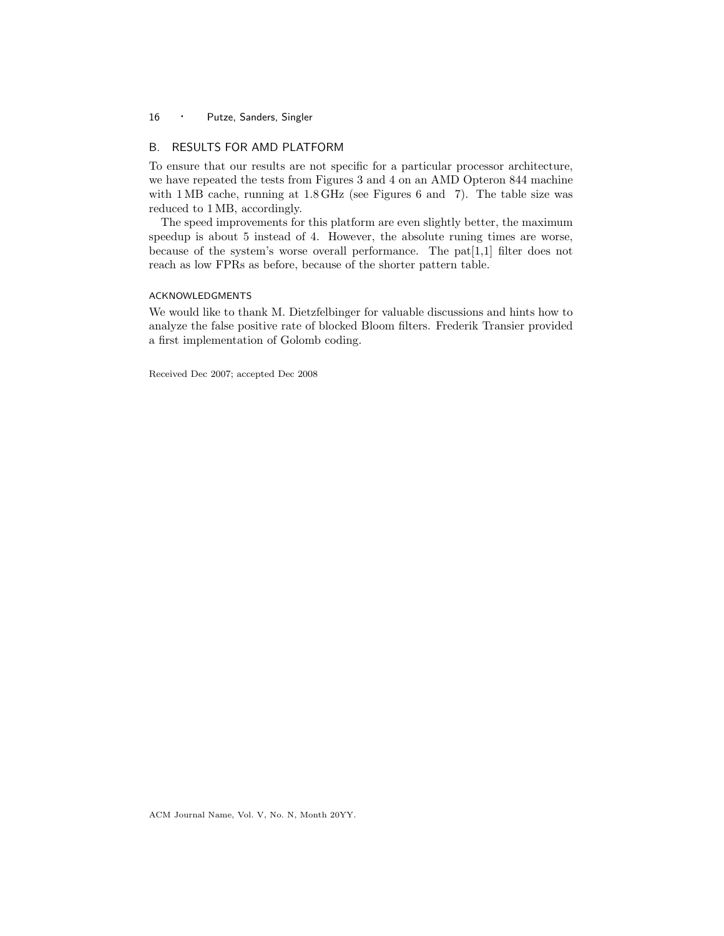### B. RESULTS FOR AMD PLATFORM

To ensure that our results are not specific for a particular processor architecture, we have repeated the tests from Figures 3 and 4 on an AMD Opteron 844 machine with 1 MB cache, running at 1.8 GHz (see Figures 6 and 7). The table size was reduced to 1 MB, accordingly.

The speed improvements for this platform are even slightly better, the maximum speedup is about 5 instead of 4. However, the absolute runing times are worse, because of the system's worse overall performance. The pat[1,1] filter does not reach as low FPRs as before, because of the shorter pattern table.

### ACKNOWLEDGMENTS

We would like to thank M. Dietzfelbinger for valuable discussions and hints how to analyze the false positive rate of blocked Bloom filters. Frederik Transier provided a first implementation of Golomb coding.

Received Dec 2007; accepted Dec 2008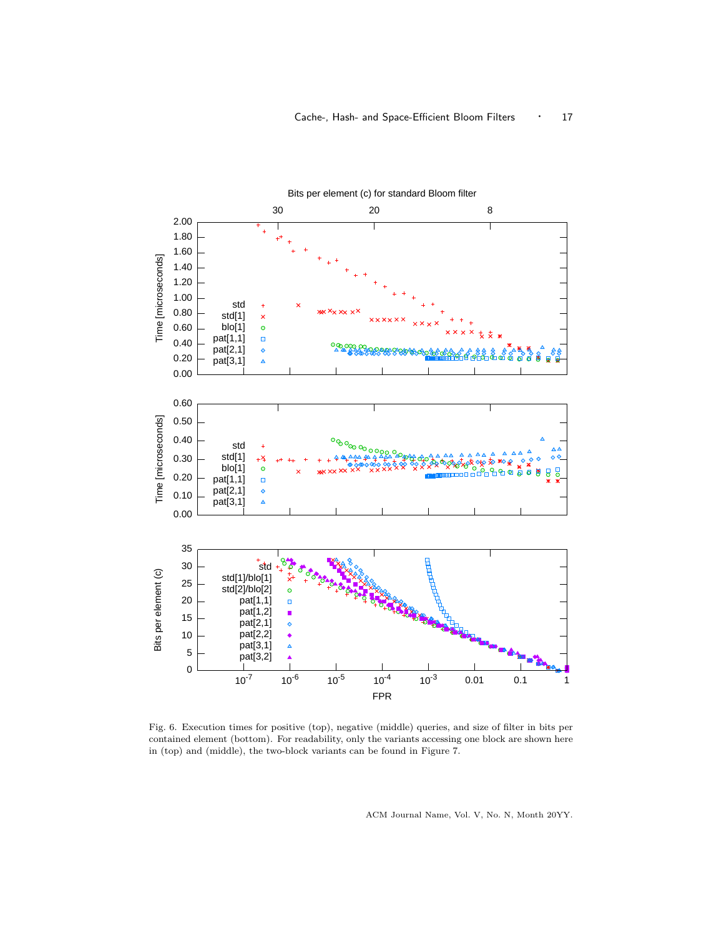

Fig. 6. Execution times for positive (top), negative (middle) queries, and size of filter in bits per contained element (bottom). For readability, only the variants accessing one block are shown here in (top) and (middle), the two-block variants can be found in Figure 7.